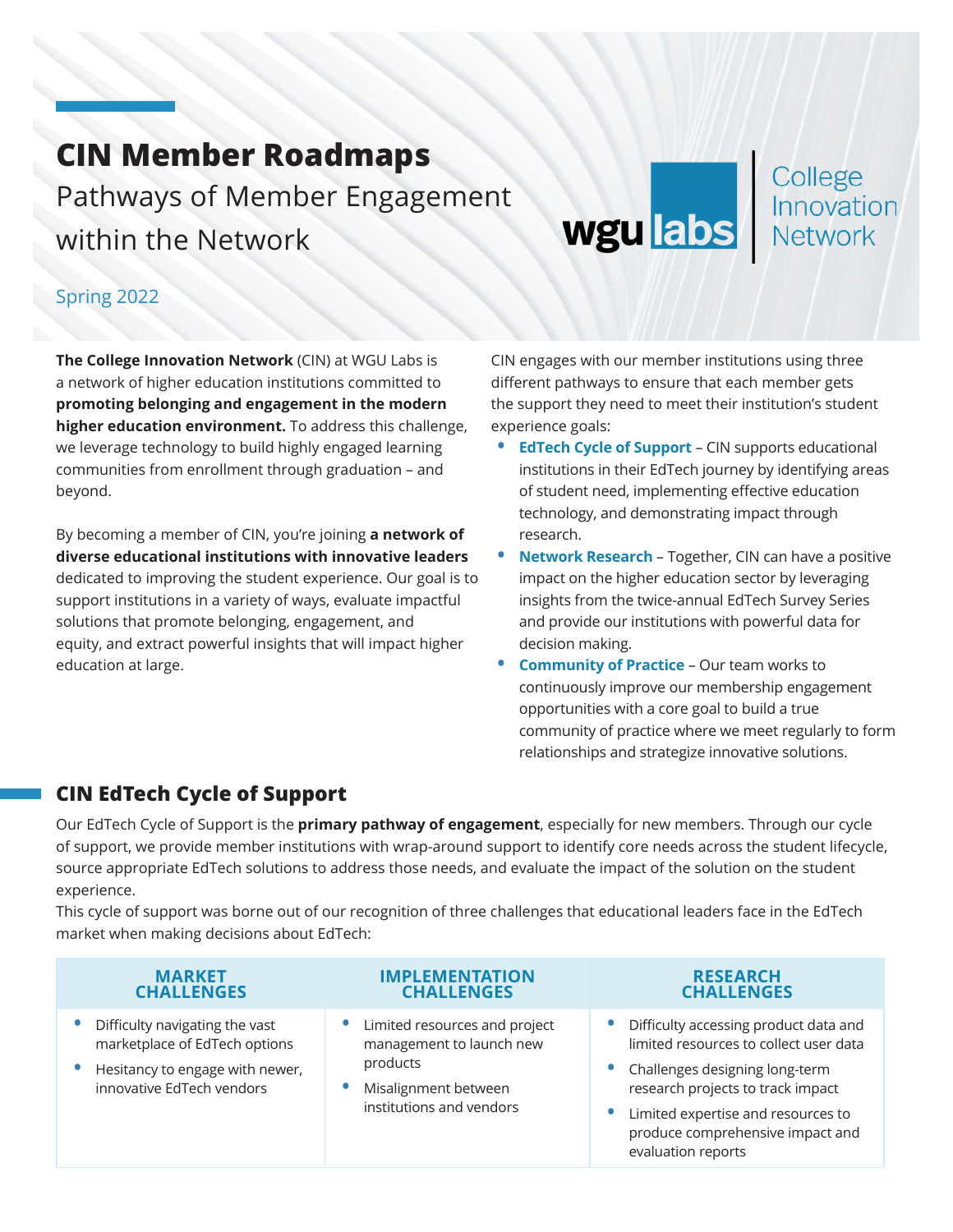### **CIN Member Roadmaps** Pathways of Member Engagement within the Network

# wgu labs

# College<br>Innovation<br>Network

#### Spring 2022

**The College Innovation Network** (CIN) at WGU Labs is a network of higher education institutions committed to **promoting belonging and engagement in the modern higher education environment.** To address this challenge, we leverage technology to build highly engaged learning communities from enrollment through graduation – and beyond.

By becoming a member of CIN, you're joining **a network of diverse educational institutions with innovative leaders** dedicated to improving the student experience. Our goal is to support institutions in a variety of ways, evaluate impactful solutions that promote belonging, engagement, and equity, and extract powerful insights that will impact higher education at large.

CIN engages with our member institutions using three different pathways to ensure that each member gets the support they need to meet their institution's student experience goals:

- **• [EdTech Cycle of Support](#page-0-0)** CIN supports educational institutions in their EdTech journey by identifying areas of student need, implementing effective education technology, and demonstrating impact through research.
- **• [Network Research](#page-2-0)** Together, CIN can have a positive impact on the higher education sector by leveraging insights from the twice-annual EdTech Survey Series and provide our institutions with powerful data for decision making.
- **• [Community of Practice](#page-3-0)** Our team works to continuously improve our membership engagement opportunities with a core goal to build a true community of practice where we meet regularly to form relationships and strategize innovative solutions.

#### <span id="page-0-0"></span>**CIN EdTech Cycle of Support**

Our EdTech Cycle of Support is the **primary pathway of engagement**, especially for new members. Through our cycle of support, we provide member institutions with wrap-around support to identify core needs across the student lifecycle, source appropriate EdTech solutions to address those needs, and evaluate the impact of the solution on the student experience.

This cycle of support was borne out of our recognition of three challenges that educational leaders face in the EdTech market when making decisions about EdTech:

| <b>MARKET</b>                                                                                                                   | <b>IMPLEMENTATION</b>                                                                                                     | <b>RESEARCH</b>                                                                                                                                                                                                                                          |
|---------------------------------------------------------------------------------------------------------------------------------|---------------------------------------------------------------------------------------------------------------------------|----------------------------------------------------------------------------------------------------------------------------------------------------------------------------------------------------------------------------------------------------------|
| <b>CHALLENGES</b>                                                                                                               | <b>CHALLENGES</b>                                                                                                         | <b>CHALLENGES</b>                                                                                                                                                                                                                                        |
| Difficulty navigating the vast<br>marketplace of EdTech options<br>Hesitancy to engage with newer,<br>innovative EdTech vendors | Limited resources and project<br>management to launch new<br>products<br>Misalignment between<br>institutions and vendors | Difficulty accessing product data and<br>limited resources to collect user data<br>• Challenges designing long-term<br>research projects to track impact<br>Limited expertise and resources to<br>produce comprehensive impact and<br>evaluation reports |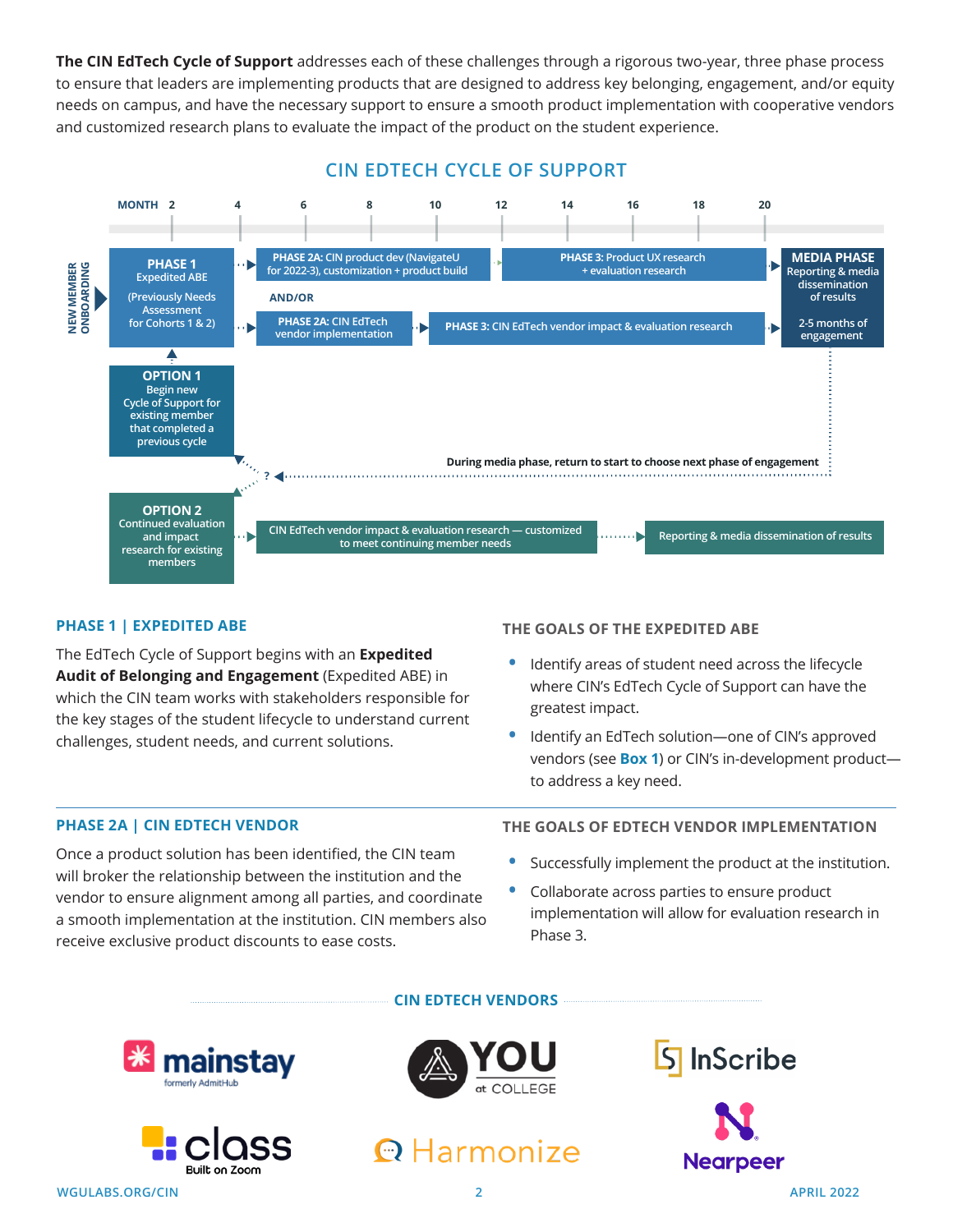**The CIN EdTech Cycle of Support** addresses each of these challenges through a rigorous two-year, three phase process to ensure that leaders are implementing products that are designed to address key belonging, engagement, and/or equity needs on campus, and have the necessary support to ensure a smooth product implementation with cooperative vendors and customized research plans to evaluate the impact of the product on the student experience.

#### **CIN EDTECH CYCLE OF SUPPORT**



#### **PHASE 1 | EXPEDITED ABE**

The EdTech Cycle of Support begins with an **Expedited Audit of Belonging and Engagement** (Expedited ABE) in which the CIN team works with stakeholders responsible for the key stages of the student lifecycle to understand current challenges, student needs, and current solutions.

**THE GOALS OF THE EXPEDITED ABE**

- **•** Identify areas of student need across the lifecycle where CIN's EdTech Cycle of Support can have the greatest impact.
- **•** Identify an EdTech solution—one of CIN's approved vendors (see **Box 1**) or CIN's in-development product to address a key need.

#### **PHASE 2A | CIN EDTECH VENDOR**

Once a product solution has been identified, the CIN team will broker the relationship between the institution and the vendor to ensure alignment among all parties, and coordinate a smooth implementation at the institution. CIN members also receive exclusive product discounts to ease costs.

#### **THE GOALS OF EDTECH VENDOR IMPLEMENTATION**

- **•** Successfully implement the product at the institution.
- **•** Collaborate across parties to ensure product implementation will allow for evaluation research in Phase 3.







**CIN EDTECH VENDORS**





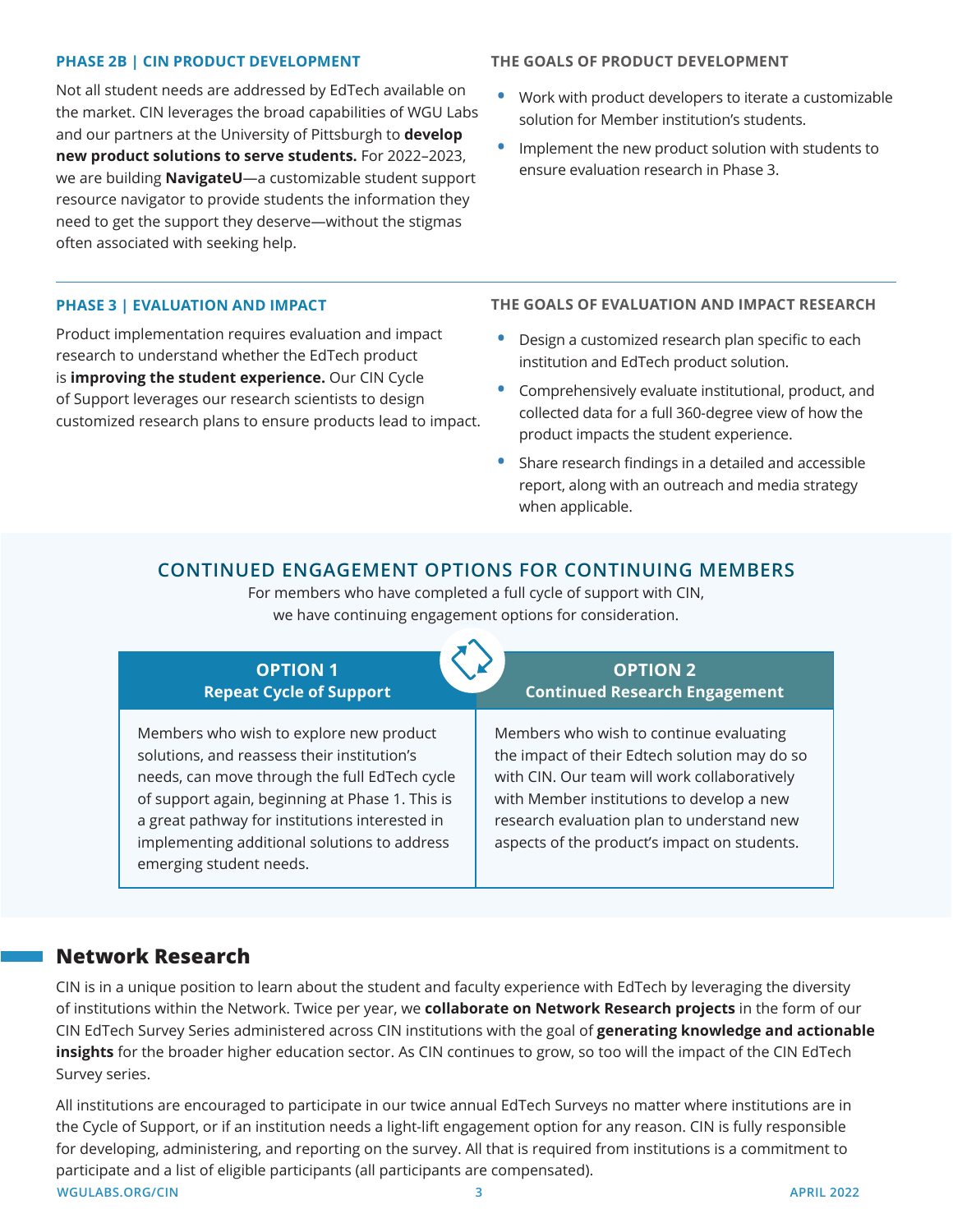#### **PHASE 2B | CIN PRODUCT DEVELOPMENT**

Not all student needs are addressed by EdTech available on the market. CIN leverages the broad capabilities of WGU Labs and our partners at the University of Pittsburgh to **develop new product solutions to serve students.** For 2022–2023, we are building **NavigateU**—a customizable student support resource navigator to provide students the information they need to get the support they deserve—without the stigmas often associated with seeking help.

#### **PHASE 3 | EVALUATION AND IMPACT**

Product implementation requires evaluation and impact research to understand whether the EdTech product is **improving the student experience.** Our CIN Cycle of Support leverages our research scientists to design customized research plans to ensure products lead to impact.

#### **THE GOALS OF PRODUCT DEVELOPMENT**

- **•** Work with product developers to iterate a customizable solution for Member institution's students.
- **•** Implement the new product solution with students to ensure evaluation research in Phase 3.

**THE GOALS OF EVALUATION AND IMPACT RESEARCH**

- **•** Design a customized research plan specific to each institution and EdTech product solution.
- **•** Comprehensively evaluate institutional, product, and collected data for a full 360-degree view of how the product impacts the student experience.
- **•** Share research findings in a detailed and accessible report, along with an outreach and media strategy when applicable.

#### **CONTINUED ENGAGEMENT OPTIONS FOR CONTINUING MEMBERS**

For members who have completed a full cycle of support with CIN, we have continuing engagement options for consideration.



#### <span id="page-2-0"></span>**Network Research**

CIN is in a unique position to learn about the student and faculty experience with EdTech by leveraging the diversity of institutions within the Network. Twice per year, we **collaborate on Network Research projects** in the form of our CIN EdTech Survey Series administered across CIN institutions with the goal of **generating knowledge and actionable insights** for the broader higher education sector. As CIN continues to grow, so too will the impact of the CIN EdTech Survey series.

**WGULABS.ORG/CIN 3 APRIL 2022** All institutions are encouraged to participate in our twice annual EdTech Surveys no matter where institutions are in the Cycle of Support, or if an institution needs a light-lift engagement option for any reason. CIN is fully responsible for developing, administering, and reporting on the survey. All that is required from institutions is a commitment to participate and a list of eligible participants (all participants are compensated).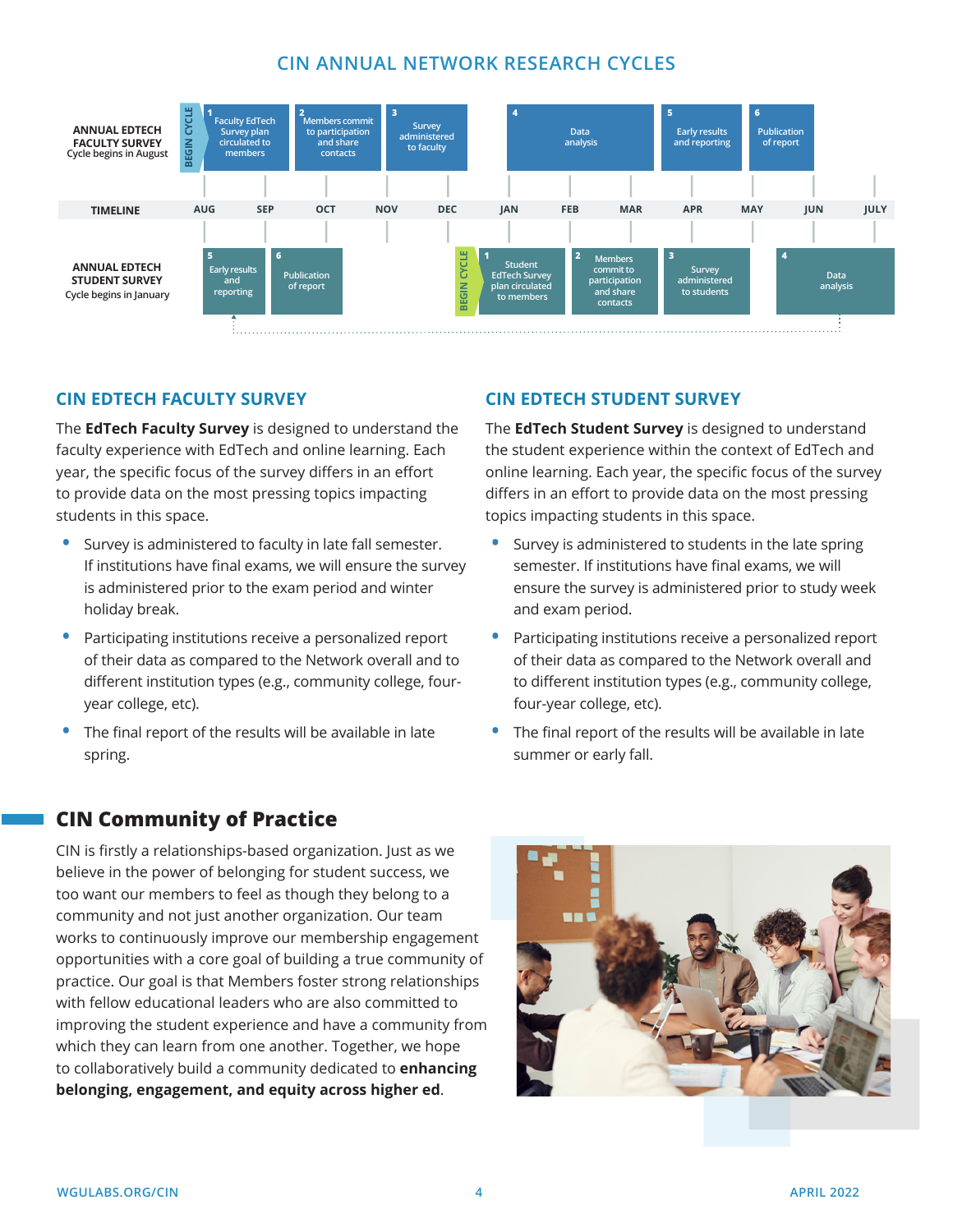#### **CIN ANNUAL NETWORK RESEARCH CYCLES**



**CIN EDTECH STUDENT SURVEY**

topics impacting students in this space.

and exam period.

<span id="page-3-0"></span>four-year college, etc).

summer or early fall.

The **EdTech Student Survey** is designed to understand the student experience within the context of EdTech and online learning. Each year, the specific focus of the survey differs in an effort to provide data on the most pressing

**•** Survey is administered to students in the late spring semester. If institutions have final exams, we will ensure the survey is administered prior to study week

**•** Participating institutions receive a personalized report of their data as compared to the Network overall and to different institution types (e.g., community college,

**•** The final report of the results will be available in late

#### **CIN EDTECH FACULTY SURVEY**

The **EdTech Faculty Survey** is designed to understand the faculty experience with EdTech and online learning. Each year, the specific focus of the survey differs in an effort to provide data on the most pressing topics impacting students in this space.

- **•** Survey is administered to faculty in late fall semester. If institutions have final exams, we will ensure the survey is administered prior to the exam period and winter holiday break.
- **•** Participating institutions receive a personalized report of their data as compared to the Network overall and to different institution types (e.g., community college, fouryear college, etc).
- **•** The final report of the results will be available in late spring.

#### **CIN Community of Practice**

CIN is firstly a relationships-based organization. Just as we believe in the power of belonging for student success, we too want our members to feel as though they belong to a community and not just another organization. Our team works to continuously improve our membership engagement opportunities with a core goal of building a true community of practice. Our goal is that Members foster strong relationships with fellow educational leaders who are also committed to improving the student experience and have a community from which they can learn from one another. Together, we hope to collaboratively build a community dedicated to **enhancing belonging, engagement, and equity across higher ed**.